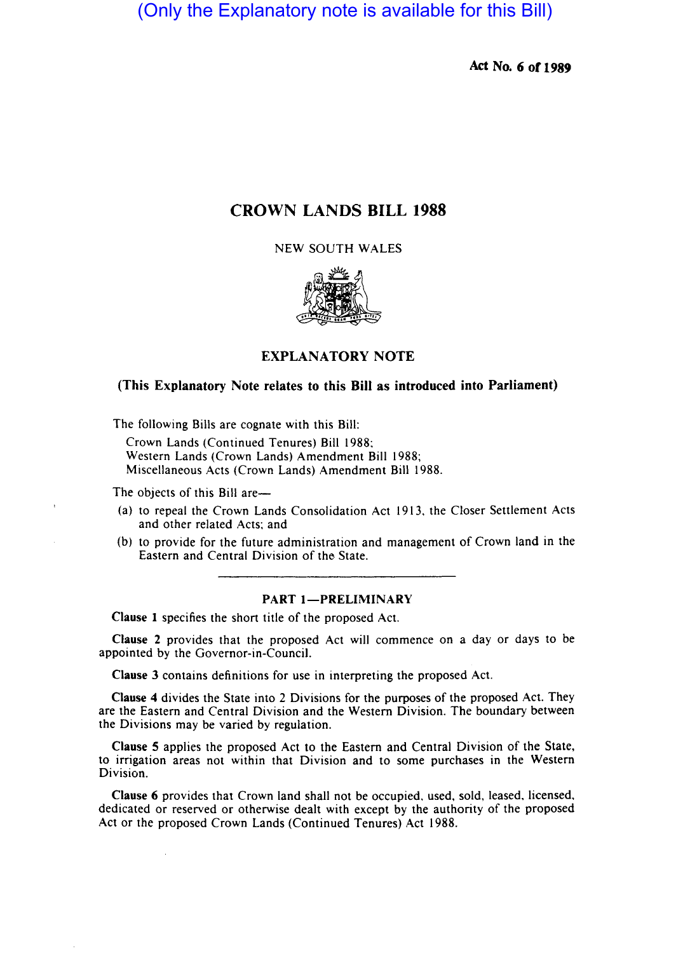(Only the Explanatory note is available for this Bill)

**Act No. 6 or 1989** 

# **CROWN LANDS BILL 1988**

NEW SOUTH WALES



## **EXPLANATORY NOTE**

# **(This Explanatory Note relates to this Bill as introduced into Parliament)**

The following Bills are cognate with this Bill:

Crown Lands (Continued Tenures) Bill 1988: Western Lands (Crown Lands) Amendment Bill 1988; Miscellaneous Acts (Crown Lands) Amendment Bill 1988.

The objects of this Bill are—

- (a) to repeal the Crown Lands Consolidation Act 1913, the Closer Settlement Acts and other related Acts; and
- (b) to provide for the future administration and management of Crown land in the Eastern and Central Division of the State.

#### **PART 1-PRELIMINARY**

**Clause I** specifies the short title of the proposed Act.

**Clause** 2 provides that the proposed Act will commence on a day or days to be appointed by the Governor-in-Council.

**Clause 3** contains definitions for use in interpreting the proposed Act.

**Clause 4** divides the State into 2 Divisions for the purposes of the proposed Act. They are the Eastern and Central Division and the Western Division. The boundary between the Divisions may be varied by regulation.

**Clause 5** applies the proposed Act to the Eastern and Central Division of the State, to irrigation areas not within that Division and to some purchases in the Western Division.

**Clause 6** provides that Crown land shall not be occupied, used, sold, leased, licensed, dedicated or reserved or otherwise dealt with except by the authority of the proposed Act or the proposed Crown Lands (Continued Tenures) Act 1988.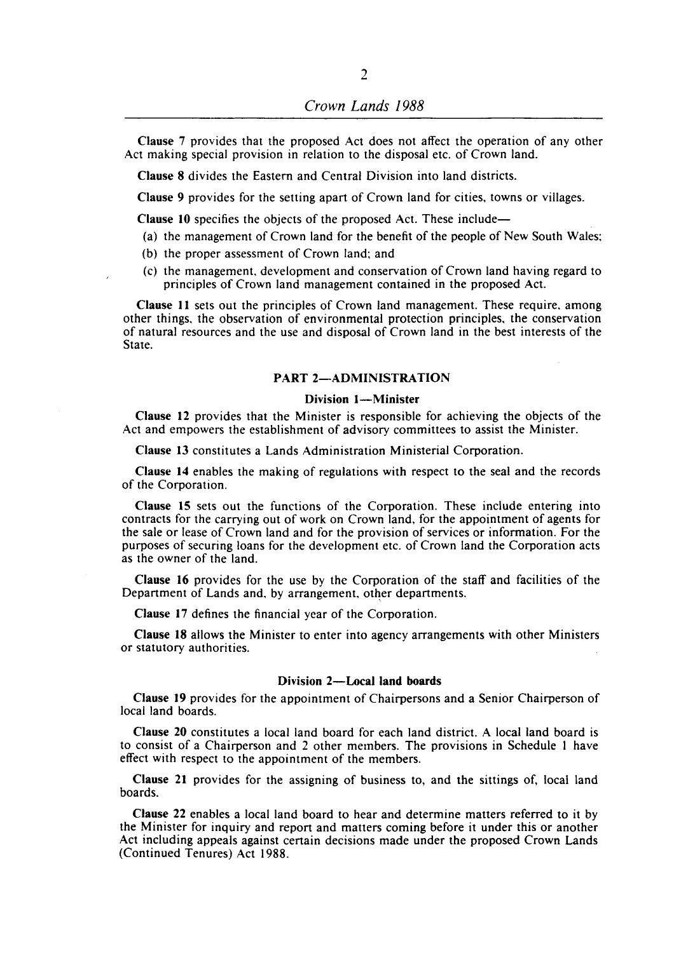Clause 7 provides that the proposed Act does not affect the operation of any other Act making special provision in relation to the disposal etc. of Crown land.

Clause 8 divides the Eastern and Central Division into land districts.

Clause 9 provides for the setting apart of Crown land for cities, towns or villages.

Clause 10 specifies the objects of the proposed Act. These include—

(a) the management of Crown land for the benefit of the people of New South Wales;

- (b) the proper assessment of Crown land; and
- (c) the management, development and conservation of Crown land having regard to principles of Crown land management contained in the proposed Act.

Clause II sets out the principles of Crown land management. These require. among other things, the observation of environmental protection principles, the conservation of natural resources and the use and disposal of Crown land in the best interests of the State.

### PART 2-ADMINISTRATION

### Division 1-Minister

Clause 12 provides that the Minister is responsible for achieving the objects of the Act and empowers the establishment of advisory committees to assist the Minister.

Clause 13 constitutes a Lands Administration Ministerial Corporation.

Clause 14 enables the making of regulations with respect to the seal and the records of the Corporation.

Clause 15 sets out the functions of the Corporation. These include entering into contracts for the carrying out of work on Crown land, for the appointment of agents for the sale or lease of Crown land and for the provision of services or information. For the purposes of securing loans for the development etc. of Crown land the Corporation acts as the owner of the land.

Clause 16 provides for the use by the Corporation of the staff and facilities of the Department of Lands and, by arrangement, other departments.

Clause 17 defines the financial year of the Corporation.

Clause 18 allows the Minister to enter into agency arrangements with other Ministers or statutory authorities.

### Division 2-Local land boards

Clause 19 provides for the appointment of Chairpersons and a Senior Chairperson of local land boards.

Clause 20 constitutes a local land board for each land district. A local land board is to consist of a Chairperson and 2 other members. The provisions in Schedule I have effect with respect to the appointment of the members.

Clause 21 provides for the assigning of business to, and the sittings of, local land boards.

Clause 22 enables a local land board to hear and determine matters referred to it by the Minister for inquiry and report and matters coming before it under this or another Act including appeals against certain decisions made under the proposed Crown Lands (Continued Tenures) Act 1988.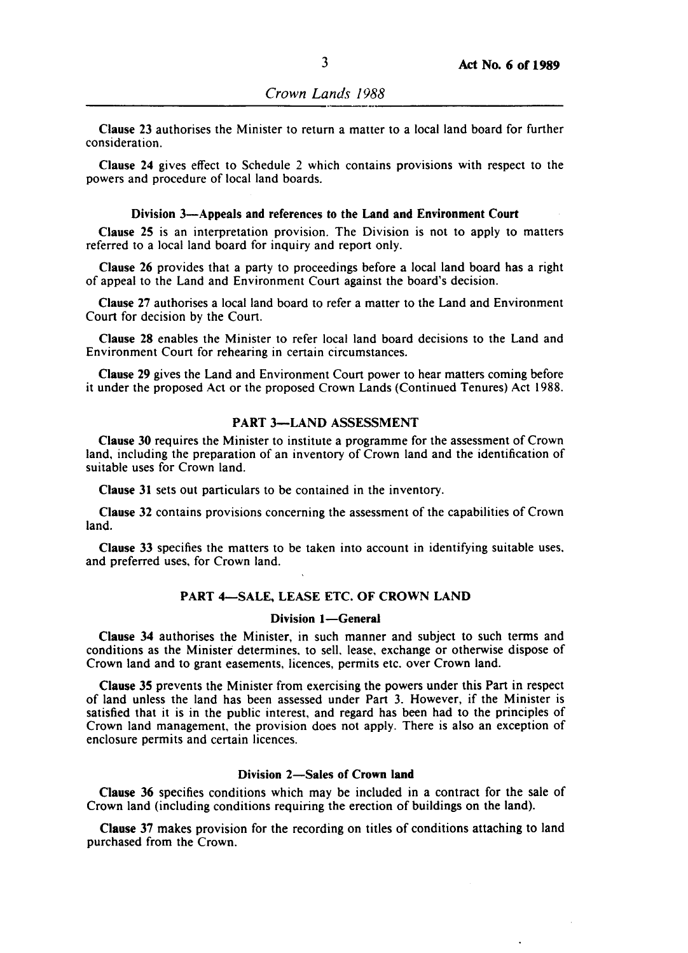Clause 23 authorises the Minister to return a matter to a local land board for further consideration.

Clause 24 gives effect to Schedule 2 which contains provisions with respect to the powers and procedure of local land boards.

#### Division 3-Appeals and references to the Land and Environment Court

Clause 25 is an interpretation provision. The Division is not to apply to matters referred to a local land board for inquiry and report only.

Clause 26 provides that a party to proceedings before a local land board has a right of appeal to the Land and Environment Court against the board's decision.

Clause 27 authorises a local land board to refer a matter to the ILand and Environment Court for decision by the Court.

Clause 28 enables the Minister to refer local land board decisions to the Land and Environment Court for rehearing in certain circumstances.

Clause 29 gives the Land and Environment Court power to hear matters coming before it under the proposed Act or the proposed Crown Lands (Continued Tenures) Act 1988.

### PART 3-LAND ASSESSMENT

Clause 30 requires the Minister to institute a programme for the assessment of Crown land, including the preparation of an inventory of Crown land and the identification of suitable uses for Crown land.

Clause 31 sets out particulars to be contained in the inventory.

Clause 32 contains provisions concerning the assessment of the capabilities of Crown land.

Clause 33 specifies the matters to be taken into account in identifying suitable uses. and preferred uses, for Crown land.

### PART 4-SALE, LEASE ETC. OF CROWN LAND

### Division 1-General

Clause 34 authorises the Minister, in such manner and subject to such terms and conditions as the Minister determines, to sell, lease, exchange or otherwise dispose of Crown land and to grant easements, licences, permits etc. over Crown land.

Clause 35 prevents the Minister from exercising the powers under this Part in respect of land unless the land has been assessed under Part 3. However, if the Minister is satisfied that it is in the public interest, and regard has been had to the principles of Crown land management, the provision does not apply. There is also an exception of enclosure permits and certain licences.

### Division 2-Sales of Crown land

Clause 36 specifies conditions which may be included in a contract for the sale of Crown land (including conditions requiring the erection of buildings on the land).

Clause 37 makes provision for the recording on titles of conditions attaching to land purchased from the Crown.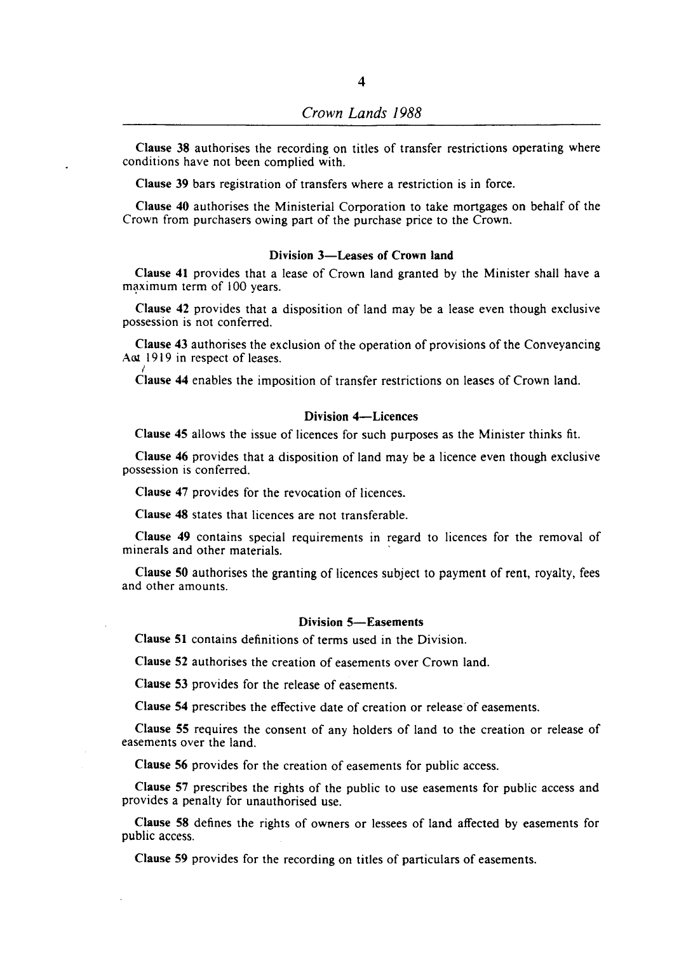Clause 38 authorises the recording on titles of transfer restrictions operating where conditions have not been complied with.

Clause 39 bars registration of transfers where a restriction is in force.

Clause 40 authorises the Ministerial Corporation to take mortgages on behalf of the Crown from purchasers owing part of the purchase price to the Crown.

#### Division 3-Leases of Crown land

Clause 41 provides that a lease of Crown land granted by the Minister shall have a maximum term of 100 years.

Clause 42 provides that a disposition of land may be a lease even though exclusive possession is not conferred.

Clause 43 authorises the exclusion of the operation of provisions of the Conveyancing Aat 1919 in respect of leases. I

Clause 44 enables the imposition of transfer restrictions on leases of Crown land.

### Division 4-Licences

Clause 45 allows the issue of licences for such purposes as the Minister thinks fit.

Clause 46 provides that a disposition of land may be a licence even though exclusive possession is conferred.

Clause 47 provides for the revocation of licences.

Clause 48 states that licences are not transferable.

Clause 49 contains special requirements in regard to licences for the removal of minerals and other materials. '

Clause 50 authorises the granting of licences subject to payment of rent, royalty, fees and other amounts.

### Division 5-Easements

Clause 51 contains definitions of terms used in the Division.

Clause 52 authorises the creation of easements over Crown land.

Clause 53 provides for the release of easements.

Clause 54 prescribes the effective date of creation or release' of easements.

Clause 55 requires the consent of any holders of land to the creation or release of easements over the land.

Clause 56 provides for the creation of easements for public access.

Clause 57 prescribes the rights of the public to use easements for public access and provides a penalty for unauthorised use.

Clause 58 defines the rights of owners or lessees of land affected by easements for public access.

Clause 59 provides for the recording on titles of particulars of easements.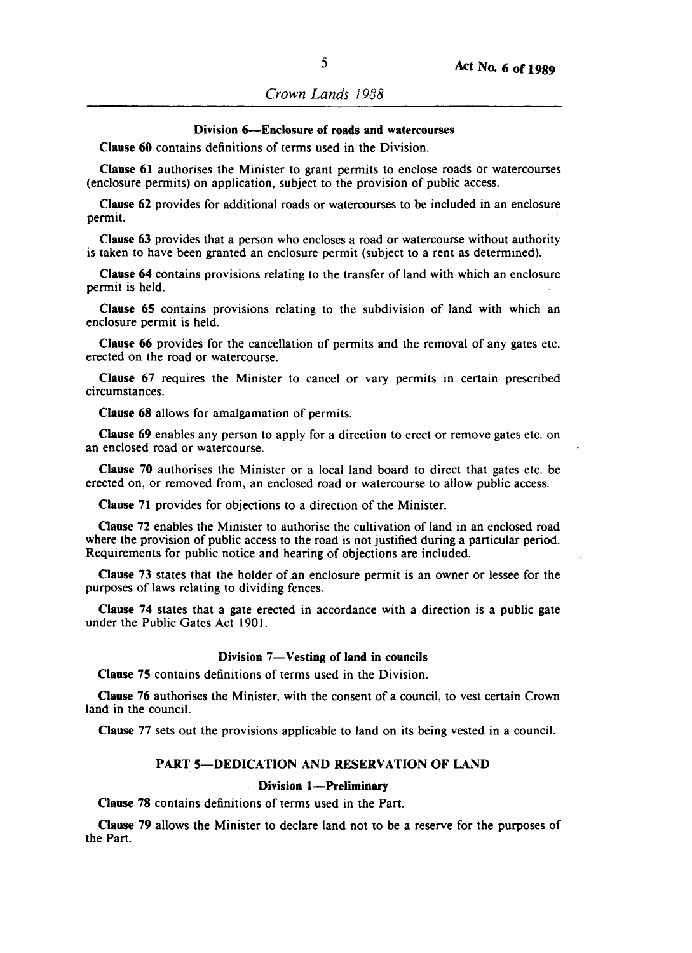*Crown Lands 1988* 

### Division 6-Enclosure of roads and watercourses

Clause 60 contains definitions of terms used in the Division.

Clause 61 authorises the Minister to grant permits to enclose roads or watercourses (enclosure permits) on application, subject to the provision of public access.

Clause 62 provides for additional roads or watercourses to be included in an enclosure permit.

Clause 63 provides that a person who encloses a road or watercourse without authority is taken to have been granted an enclosure permit (subject to a rent as determined).

Clause 64 contains provisions relating to the transfer of land with which an enclosure permit is held.

Clause 65 contains provisions relating to the subdivision of land with which an enclosure permit is held.

Clause 66 provides for the cancellation of permits and the removal of any gates etc. erected on the road or watercourse.

Clause 67 requires the Minister to cancel or vary permits in certain prescribed circumstances.

Clause 68 allows for amalgamation of permits.

Clause 69 enables any person to apply for a direction to erect or remove gates etc. on an enclosed road or watercourse.

Clause 70 authorises the Minister or a local land board to direct that gates etc. be erected on, or removed from, an enclosed road or watercourse to allow public access.

Clause 71 provides for objections to a direction of the Minister.

Clause 72 enables the Minister to authorise the cultivation of land in an enclosed road where the provision of public access to the road is not justified during a particular period. Requirements for public notice and hearing of objections are included.

Clause 73 states that the holder of ,an enclosure permit is an owner or lessee for the purposes of laws relating to dividing fences.

Clause 74 states that a gate erected in accordance with a direction is a public gate under the Public Gates Act 1901.

#### Division 7-Vesting of land in councils

Clause 75 contains definitions of terms used in the Division.

Clause 76 authorises the Minister, with the consent of a council, to vest certain Crown land in the council.

Clause 77 sets out the provisions applicable to land on its being vested in a council.

### PART 5-DEDICATION AND RESERVATION OF LAND

#### Division 1-Preliminary

Clause 78 contains definitions of terms used in the Part.

Clause 79 allows the Minister to declare land not to be a reserve for the purposes of the Part.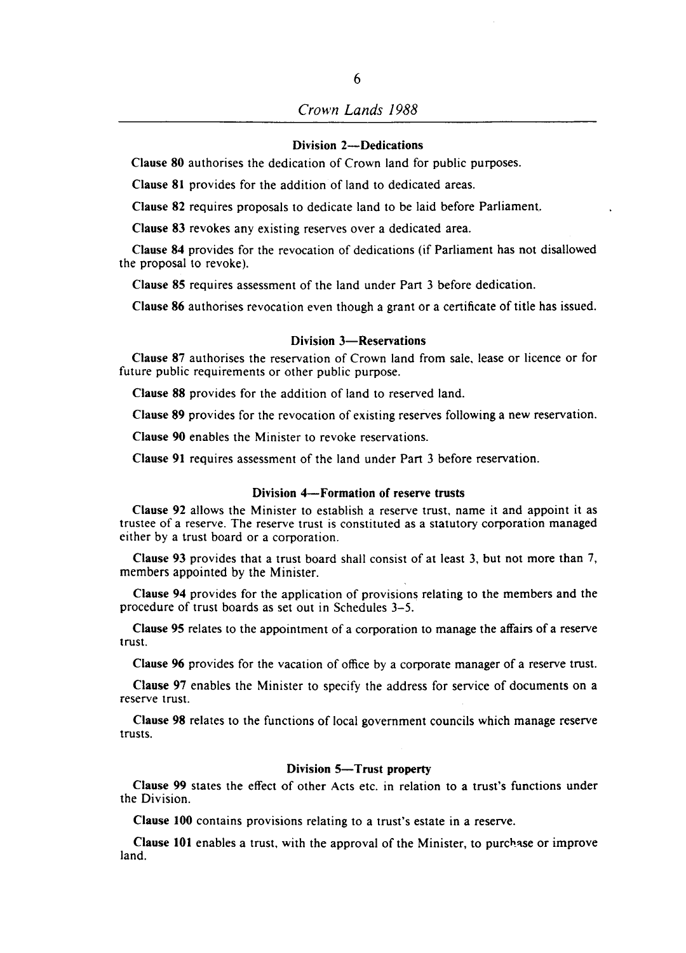# *Crown Lands 1988*

### Division 2-Dedications

Clause 80 authorises the dedication of Crown land for public purposes.

Clause 81 provides for the addition of land to dedicated areas.

Clause 82 requires proposals to dedicate land to be laid before Parliament..

Clause 83 revokes any existing reserves over a dedicated area.

Clause 84 provides for the revocation of dedications (if Parliament has not disallowed the proposal to revoke).

Clause 85 requires assessment of the land under Part 3 before dedication.

Clause 86 authorises revocation even though a grant or a certificate of title has issued.

### Division 3-Reservations

Clause 87 authorises the reservation of Crown land from sale, lease or licence or for future public requirements or other public purpose.

Clause 88 provides for the addition of land to reserved land.

Clause 89 provides for the revocation of existing reserves following a new reservation.

Clause 90 enables the Minister to revoke reservations.

Clause 91 requires assessment of the land under Part 3 before reservation.

#### Division 4-Formation of reserve trusts

Clause 92 allows the Minister to establish a reserve trust, name it and appoint it as trustee of a reserve. The reserve trust is constituted as a statutory corporation managed either by a trust board or a corporation.

Clause 93 provides that a trust board shall consist of at least 3, but not more than 7, members appointed by the Minister.

Clause 94 provides for the application of provisions relating to the members and the procedure of trust boards as set out in Schedules 3-5.

Clause 95 relates to the appointment of a corporation to manage the affairs of a reserve trust.

Clause 96 provides for the vacation of office by a corporate manager of a reserve trust.

Clause 97 enables the Minister to specify the address for service of documents on a reserve trust.

Clause 98 relates to the functions of local government councils which manage reserve trusts.

#### Division 5-Trust property

Clause 99 states the effect of other Acts etc. in relation to a trust's functions under the Division.

Clause 100 contains provisions relating to a trust's estate in a reserve.

Clause 101 enables a trust, with the approval of the Minister, to purchase or improve land.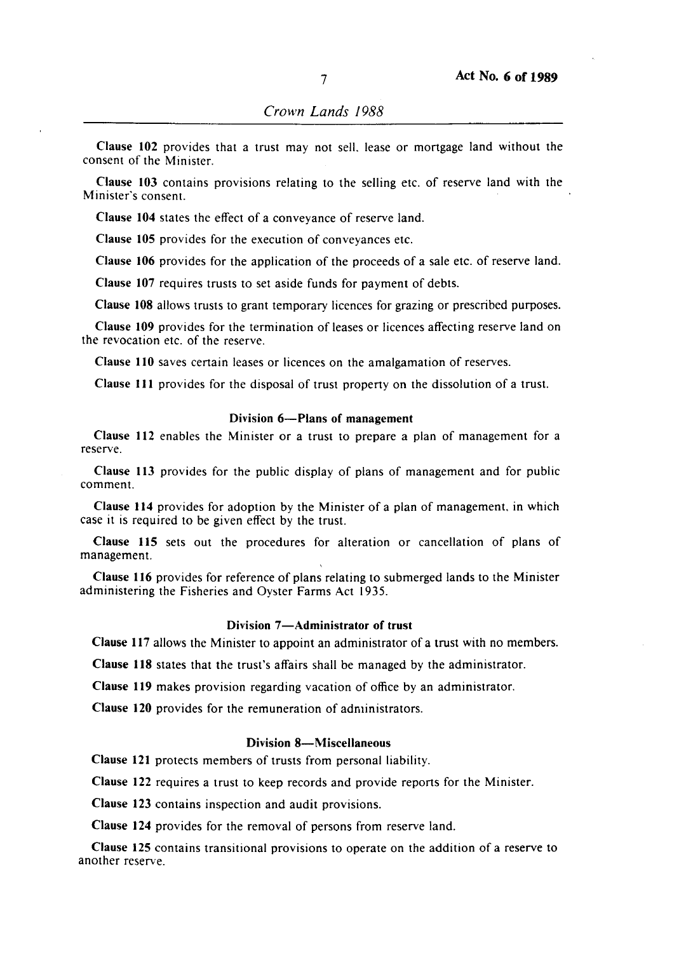**Clause 102** provides that a trust may not selL lease or mortgage land without the consent of the Minister.

**Clause 103** contains provisions relating to the selling etc. of reserve land with the Minister's consent.

**Clause 104** states the effect of a conveyance of reserve land.

**Clause 105** provides for the execution of conveyances etc.

**Clause 106** provides for the application of the proceeds of a sale etc. of reserve land.

**Clause 107** requires trusts to set aside funds for payment of debts.

**Clause 108** allows trusts to grant temporary licences for grazing or prescribed purposes.

**Clause 109** provides for the termination of leases or licences affecting reserve land on the revocation etc. of the reserve.

**Clause 110** saves certain leases or licences on the amalgamation of reserves.

**Clause I11** provides for the disposal of trust property on the dissolution of a trust.

#### **Division 6-Plans of management**

**Clause 112** enables the Minister or a trust to prepare a plan of management for a reserve.

**Clause 113** provides for the public display of plans of management and for public comment.

**Clause 114** provides for adoption by the Minister of a plan of management. in which case it is required to be given effect by the trust.

**Clause 115** sets out the procedures for alteration or cancellation of plans of management.

**Clause 116** provides for reference of plans relating to submerged lands to the Minister administering the Fisheries and Oyster Farms Act 1935.

### **Division 7-Administrator of trust**

**Clause 117** allows the Minister to appoint an administrator of a trust with no members.

**Clause 118** states that the trust's affairs shall be managed by the administrator.

**Clause 119** makes provision regarding vacation of office by an administrator.

**Clause 120** provides for the remuneration of administrators.

### **Division 8-MisceJlaneous**

**Clause 121** protects members of trusts from personal liability.

**Clause 122** requires a trust to keep records and provide reports for the Minister.

**Clause 123** contains inspection and audit provisions.

**Clause 124** provides for the removal of persons from reserve land.

**Clause 125** contains transitional provisions to operate on the addition of a reserve to another reserve.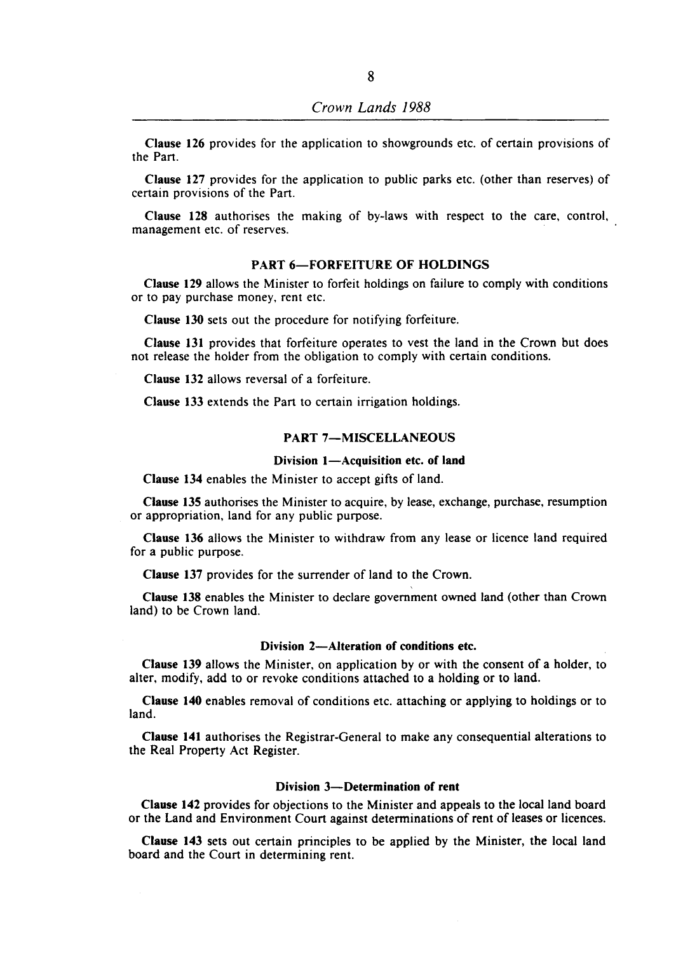Clause 126 provides for the application to showgrounds etc. of certain provisions of the Part.

Clause 127 provides for the application to public parks etc. (other than reserves) of certain provisions of the Part.

Clause 128 authorises the making of by-laws with respect to the care, control, management etc. of reserves.

### PART 6-FORFEITURE OF HOLDINGS

Clause 129 allows the Minister to forfeit holdings on failure to comply with conditions or to pay purchase money, rent etc.

Clause 130 sets out the procedure for notifying forfeiture.

Clause 131 provides that forfeiture operates to vest the land in the Crown but does not release the holder from the obligation to comply with certain conditions.

Clause 132 allows reversal of a forfeiture.

Clause 133 extends the Part to certain irrigation holdings.

# PART 7-MISCELLANEOUS

#### Division 1-Acquisition etc. of land

Clause 134 enables the Minister to accept gifts of land.

Clause 135 authorises the Minister to acquire, by lease, exchange, purchase, resumption or appropriation, land for any public purpose.

Clause 136 allows the Minister to withdraw from any lease or licence land required for a public purpose.

Clause 137 provides for the surrender of land to the Crown.

Clause 138 enables the Minister to declare government owned land (other than Crown land) to be Crown land.

#### Division 2-Alteration of conditions etc.

Clause 139 allows the Minister, on application by or with the consent of a holder, to alter, modify, add to or revoke conditions attached to a holding or to land.

Clause 140 enables removal of conditions etc. attaching or applying to holdings or to land.

Clause 141 authorises the Registrar-General to make any consequential alterations to the Real Property Act Register.

#### Division 3-Determination of rent

Clause 142 provides for objections to the Minister and appeals to the local land board or the Land and Environment Court against determinations of rent of leases or licences.

Clause 143 sets out certain principles to be applied by the Minister, the local land board and the Court in determining rent.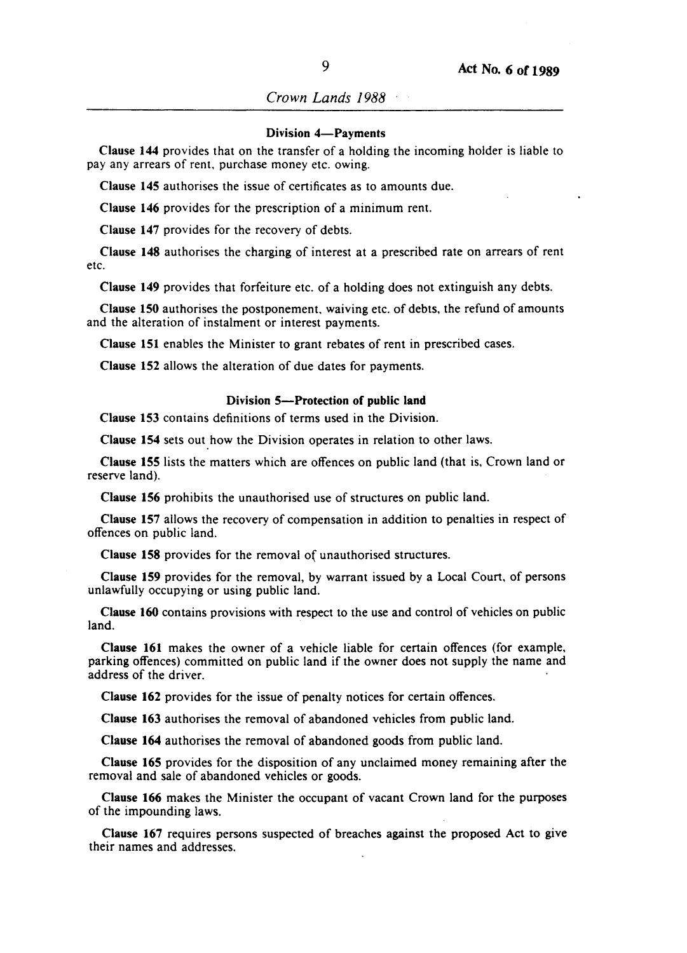#### Division 4-Payments

Clause 144 provides that on the transfer of a holding the incoming holder is liable to pay any arrears of rent, purchase money etc. owing.

Clause 145 authorises the issue of certificates as to amounts due.

Clause 146 provides for the prescription of a minimum rent.

Clause 147 provides for the recovery of debts.

Clause 148 authorises the charging of interest at a prescribed rate on arrears of rent etc.

Clause 149 provides that forfeiture etc. of a holding does not extinguish any debts.

Clause 150 authorises the postponement, waiving etc. of debts, the refund of amounts and the alteration of instalment or interest payments.

Clause 151 enables the Minister to grant rebates of rent in prescribed cases.

Clause 152 allows the alteration of due dates for payments.

#### Division 5-Protection of public land

Clause 153 contains definitions of terms used in the Division.

Clause 154 sets out how the Division operates in relation to other laws.

Clause 155 lists the matters which are offences on public land (that is, Crown land or reserve land).

Clause 156 prohibits the unauthorised use of structures on public land.

Clause 157 allows the recovery of compensation in addition to penalties in respect of offences on public land.

Clause 158 provides for the removal of unauthorised structures.

Clause 159 provides for the removal, by warrant issued by a Local Court, of persons unlawfully occupying or using public land.

Clause 160 contains provisions with respect to the use and control of vehicles on public land.

Clause 161 makes the owner of a vehicle liable for certain offences (for example, parking offences) committed on public land if the owner does not supply the name and address of the driver.

Clause 162 provides for the issue of penalty notices for certain offences.

Clause 163 authorises the removal of abandoned vehicles from public land.

Clause 164 authorises the removal of abandoned goods from public land.

Clause 165 provides for the disposition of any unclaimed money remaining after the removal and sale of abandoned vehicles or goods.

Clause 166 makes the Minister the occupant of vacant Crown land for the purposes of the impounding laws.

Clause 167 requires persons suspected of breaches against the proposed Act to give their names and addresses.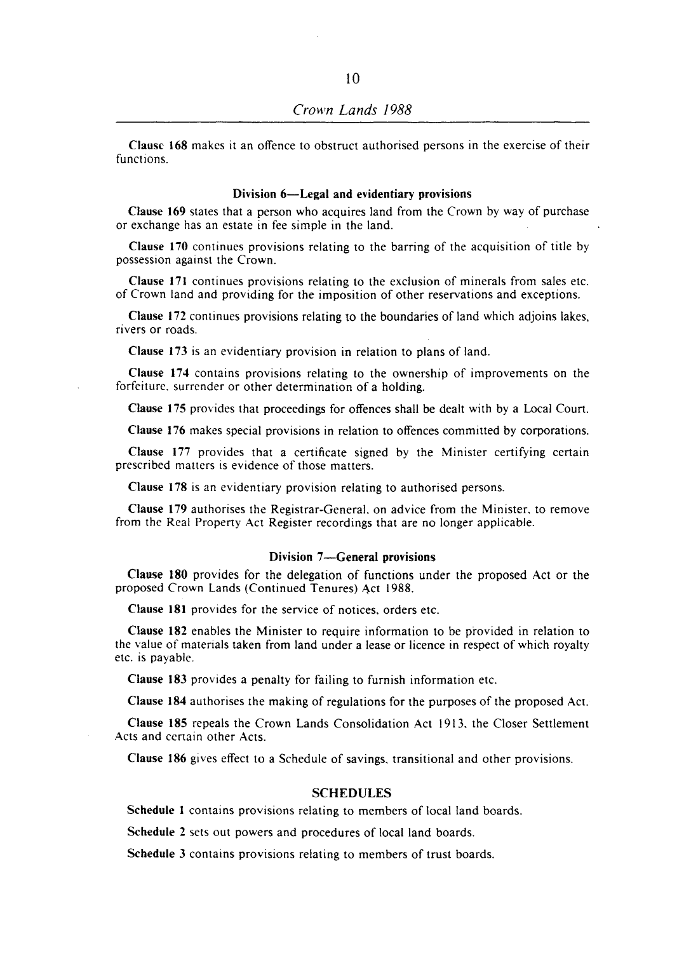Clause 168 makes it an offence to obstruct authorised persons in the exercise of their functions.

#### Division 6-Legal and evidentiary provisions

Clause 169 states that a person who acquires land from the Crown by way of purchase or exchange has an estate in fee simple in the land.

Clause 170 continues provisions relating to the barring of the acquisition of title by possession against the Crown.

Clause 171 continues provisions relating to the exclusion of minerals from sales etc. of Crown land and providing for the imposition of other reservations and exceptions.

Clause 172 continues provisions relating to the boundaries of land which adjoins lakes, rivers or roads.

Clause 173 is an evidentiary provision in relation to plans of land.

Clause 174 contains provisions relating to the ownership of improvements on the forfeiture. surrender or other determination of a holding.

Clause 175 provides that proceedings for offences shall be dealt with by a Local Court.

Clause 176 makes special provisions in relation to offences committed by corporations.

Clause 177 provides that a certificate signed by the Minister certifying certain prescribed matters is evidence of those matters.

Clause 178 is an evidentiary provision relating to authorised persons.

Clause 179 authorises the Registrar-General. on advice from the Minister. to remove from the Real Property Act Register recordings that are no longer applicable.

#### Division 7-General provisions

Clause 180 provides for the delegation of functions under the proposed Act or the proposed Crown Lands (Continued Tenures) Act 1988.

Clause 181 provides for the service of notices, orders etc.

Clause 182 enables the Minister to require information to be provided in relation to the value of materials taken from land under a lease or licence in respect of which royalty etc. is payable.

Clause 183 provides a penalty for failing to furnish information etc.

Clause 184 authorises the making of regulations for the purposes of the proposed Act.

Clause 185 repeals the Crown Lands Consolidation Act 1913. the Closer Settlement Acts and certain other Acts.

Clause 186 gives effect to a Schedule of savings. transitional and other provisions.

### SCHEDULES

Schedule 1 contains provisions relating to members of local land boards.

Schedule 2 sets out powers and procedures of local land boards.

Schedule 3 contains provisions relating to members of trust boards.